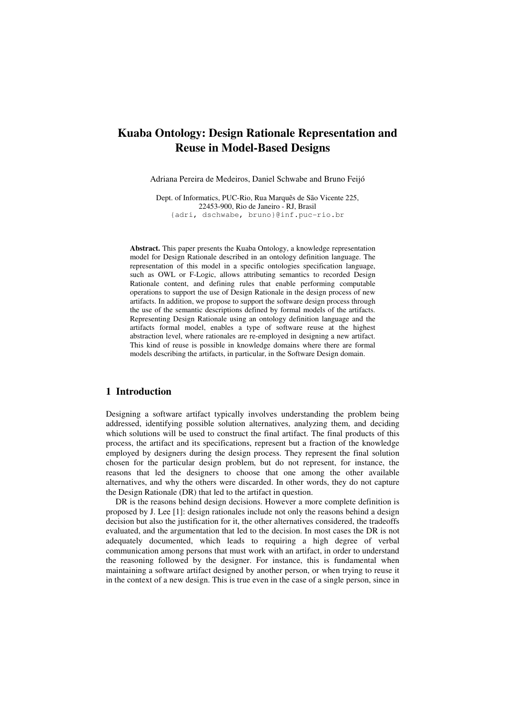# **Kuaba Ontology: Design Rationale Representation and Reuse in Model-Based Designs**

Adriana Pereira de Medeiros, Daniel Schwabe and Bruno Feijó

Dept. of Informatics, PUC-Rio, Rua Marquês de São Vicente 225, 22453-900, Rio de Janeiro - RJ, Brasil {adri, dschwabe, bruno}@inf.puc-rio.br

**Abstract.** This paper presents the Kuaba Ontology, a knowledge representation model for Design Rationale described in an ontology definition language. The representation of this model in a specific ontologies specification language, such as OWL or F-Logic, allows attributing semantics to recorded Design Rationale content, and defining rules that enable performing computable operations to support the use of Design Rationale in the design process of new artifacts. In addition, we propose to support the software design process through the use of the semantic descriptions defined by formal models of the artifacts. Representing Design Rationale using an ontology definition language and the artifacts formal model, enables a type of software reuse at the highest abstraction level, where rationales are re-employed in designing a new artifact. This kind of reuse is possible in knowledge domains where there are formal models describing the artifacts, in particular, in the Software Design domain.

# **1 Introduction**

Designing a software artifact typically involves understanding the problem being addressed, identifying possible solution alternatives, analyzing them, and deciding which solutions will be used to construct the final artifact. The final products of this process, the artifact and its specifications, represent but a fraction of the knowledge employed by designers during the design process. They represent the final solution chosen for the particular design problem, but do not represent, for instance, the reasons that led the designers to choose that one among the other available alternatives, and why the others were discarded. In other words, they do not capture the Design Rationale (DR) that led to the artifact in question.

DR is the reasons behind design decisions. However a more complete definition is proposed by J. Lee [1]: design rationales include not only the reasons behind a design decision but also the justification for it, the other alternatives considered, the tradeoffs evaluated, and the argumentation that led to the decision. In most cases the DR is not adequately documented, which leads to requiring a high degree of verbal communication among persons that must work with an artifact, in order to understand the reasoning followed by the designer. For instance, this is fundamental when maintaining a software artifact designed by another person, or when trying to reuse it in the context of a new design. This is true even in the case of a single person, since in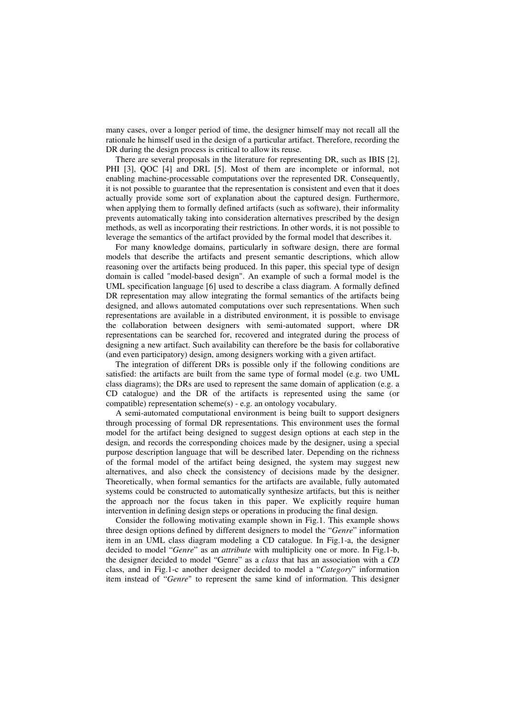many cases, over a longer period of time, the designer himself may not recall all the rationale he himself used in the design of a particular artifact. Therefore, recording the DR during the design process is critical to allow its reuse.

There are several proposals in the literature for representing DR, such as IBIS [2], PHI [3], QOC [4] and DRL [5]. Most of them are incomplete or informal, not enabling machine-processable computations over the represented DR. Consequently, it is not possible to guarantee that the representation is consistent and even that it does actually provide some sort of explanation about the captured design. Furthermore, when applying them to formally defined artifacts (such as software), their informality prevents automatically taking into consideration alternatives prescribed by the design methods, as well as incorporating their restrictions. In other words, it is not possible to leverage the semantics of the artifact provided by the formal model that describes it.

For many knowledge domains, particularly in software design, there are formal models that describe the artifacts and present semantic descriptions, which allow reasoning over the artifacts being produced. In this paper, this special type of design domain is called "model-based design". An example of such a formal model is the UML specification language [6] used to describe a class diagram. A formally defined DR representation may allow integrating the formal semantics of the artifacts being designed, and allows automated computations over such representations. When such representations are available in a distributed environment, it is possible to envisage the collaboration between designers with semi-automated support, where DR representations can be searched for, recovered and integrated during the process of designing a new artifact. Such availability can therefore be the basis for collaborative (and even participatory) design, among designers working with a given artifact.

The integration of different DRs is possible only if the following conditions are satisfied: the artifacts are built from the same type of formal model (e.g. two UML class diagrams); the DRs are used to represent the same domain of application (e.g. a CD catalogue) and the DR of the artifacts is represented using the same (or compatible) representation scheme(s) - e.g. an ontology vocabulary.

A semi-automated computational environment is being built to support designers through processing of formal DR representations. This environment uses the formal model for the artifact being designed to suggest design options at each step in the design, and records the corresponding choices made by the designer, using a special purpose description language that will be described later. Depending on the richness of the formal model of the artifact being designed, the system may suggest new alternatives, and also check the consistency of decisions made by the designer. Theoretically, when formal semantics for the artifacts are available, fully automated systems could be constructed to automatically synthesize artifacts, but this is neither the approach nor the focus taken in this paper. We explicitly require human intervention in defining design steps or operations in producing the final design.

Consider the following motivating example shown in Fig.1. This example shows three design options defined by different designers to model the "*Genre*" information item in an UML class diagram modeling a CD catalogue. In Fig.1-a, the designer decided to model "*Genre*" as an *attribute* with multiplicity one or more. In Fig.1-b, the designer decided to model "Genre" as a *class* that has an association with a *CD* class, and in Fig.1-c another designer decided to model a "*Category*" information item instead of "*Genre*" to represent the same kind of information. This designer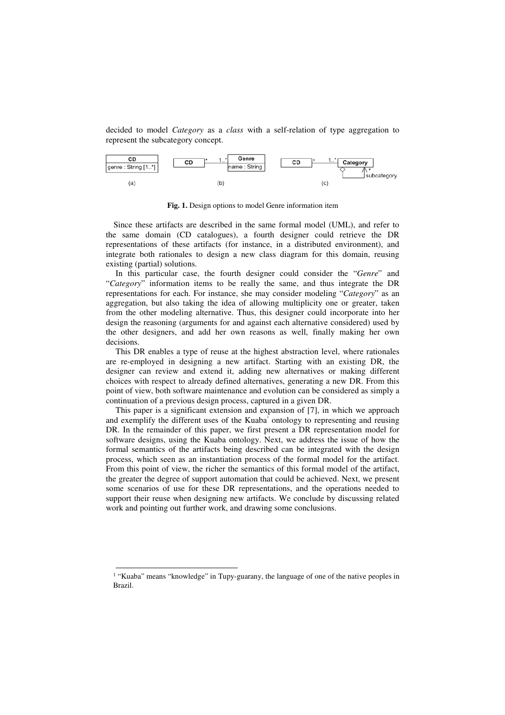decided to model *Category* as a *class* with a self-relation of type aggregation to represent the subcategory concept.



**Fig. 1.** Design options to model Genre information item

Since these artifacts are described in the same formal model (UML), and refer to the same domain (CD catalogues), a fourth designer could retrieve the DR representations of these artifacts (for instance, in a distributed environment), and integrate both rationales to design a new class diagram for this domain, reusing existing (partial) solutions.

In this particular case, the fourth designer could consider the "*Genre*" and "*Category*" information items to be really the same, and thus integrate the DR representations for each. For instance, she may consider modeling "*Category*" as an aggregation, but also taking the idea of allowing multiplicity one or greater, taken from the other modeling alternative. Thus, this designer could incorporate into her design the reasoning (arguments for and against each alternative considered) used by the other designers, and add her own reasons as well, finally making her own decisions.

This DR enables a type of reuse at the highest abstraction level, where rationales are re-employed in designing a new artifact. Starting with an existing DR, the designer can review and extend it, adding new alternatives or making different choices with respect to already defined alternatives, generating a new DR. From this point of view, both software maintenance and evolution can be considered as simply a continuation of a previous design process, captured in a given DR.

This paper is a significant extension and expansion of [7], in which we approach and exemplify the different uses of the Kuaba<sup>1</sup> ontology to representing and reusing DR. In the remainder of this paper, we first present a DR representation model for software designs, using the Kuaba ontology. Next, we address the issue of how the formal semantics of the artifacts being described can be integrated with the design process, which seen as an instantiation process of the formal model for the artifact. From this point of view, the richer the semantics of this formal model of the artifact, the greater the degree of support automation that could be achieved. Next, we present some scenarios of use for these DR representations, and the operations needed to support their reuse when designing new artifacts. We conclude by discussing related work and pointing out further work, and drawing some conclusions.

 $\overline{a}$ 

<sup>&</sup>lt;sup>1</sup> "Kuaba" means "knowledge" in Tupy-guarany, the language of one of the native peoples in Brazil.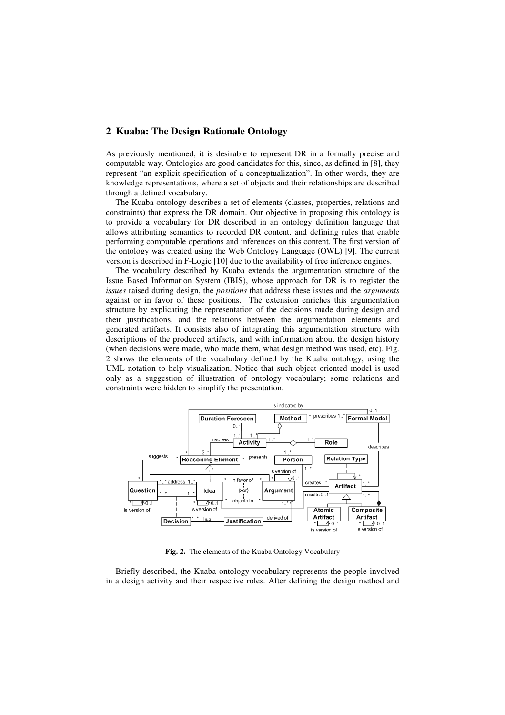# **2 Kuaba: The Design Rationale Ontology**

As previously mentioned, it is desirable to represent DR in a formally precise and computable way. Ontologies are good candidates for this, since, as defined in [8], they represent "an explicit specification of a conceptualization". In other words, they are knowledge representations, where a set of objects and their relationships are described through a defined vocabulary.

The Kuaba ontology describes a set of elements (classes, properties, relations and constraints) that express the DR domain. Our objective in proposing this ontology is to provide a vocabulary for DR described in an ontology definition language that allows attributing semantics to recorded DR content, and defining rules that enable performing computable operations and inferences on this content. The first version of the ontology was created using the Web Ontology Language (OWL) [9]. The current version is described in F-Logic [10] due to the availability of free inference engines.

The vocabulary described by Kuaba extends the argumentation structure of the Issue Based Information System (IBIS), whose approach for DR is to register the *issues* raised during design, the *positions* that address these issues and the *arguments* against or in favor of these positions. The extension enriches this argumentation structure by explicating the representation of the decisions made during design and their justifications, and the relations between the argumentation elements and generated artifacts. It consists also of integrating this argumentation structure with descriptions of the produced artifacts, and with information about the design history (when decisions were made, who made them, what design method was used, etc). Fig. 2 shows the elements of the vocabulary defined by the Kuaba ontology, using the UML notation to help visualization. Notice that such object oriented model is used only as a suggestion of illustration of ontology vocabulary; some relations and constraints were hidden to simplify the presentation.



**Fig. 2.** The elements of the Kuaba Ontology Vocabulary

Briefly described, the Kuaba ontology vocabulary represents the people involved in a design activity and their respective roles. After defining the design method and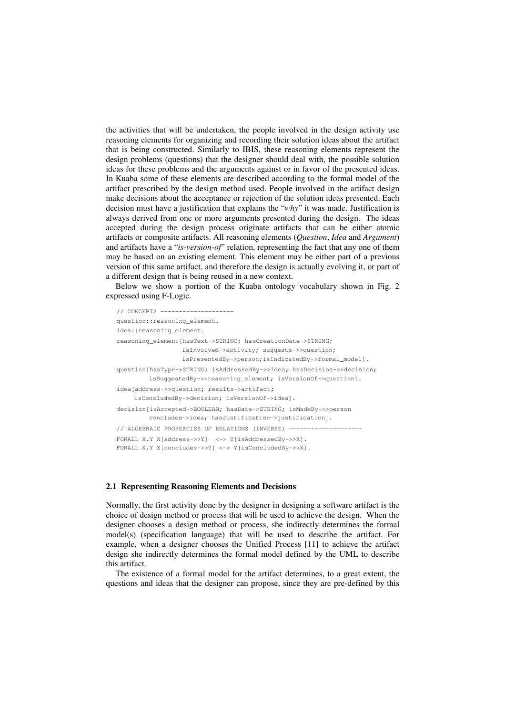the activities that will be undertaken, the people involved in the design activity use reasoning elements for organizing and recording their solution ideas about the artifact that is being constructed. Similarly to IBIS, these reasoning elements represent the design problems (questions) that the designer should deal with, the possible solution ideas for these problems and the arguments against or in favor of the presented ideas. In Kuaba some of these elements are described according to the formal model of the artifact prescribed by the design method used. People involved in the artifact design make decisions about the acceptance or rejection of the solution ideas presented. Each decision must have a justification that explains the "*why*" it was made. Justification is always derived from one or more arguments presented during the design. The ideas accepted during the design process originate artifacts that can be either atomic artifacts or composite artifacts. All reasoning elements (*Question*, *Idea* and *Argument*) and artifacts have a "*is-version-of*" relation, representing the fact that any one of them may be based on an existing element. This element may be either part of a previous version of this same artifact, and therefore the design is actually evolving it, or part of a different design that is being reused in a new context.

Below we show a portion of the Kuaba ontology vocabulary shown in Fig. 2 expressed using F-Logic.

```
// CONCEPTS -------------------- 
question::reasoning_element. 
idea:: reasoning_element.
reasoning_element[hasText->STRING; hasCreationDate->STRING; 
                  isInvolved->activity; suggests->>question; 
                   isPresentedBy->person;isIndicatedBy->formal_model]. 
question[hasType->STRING; isAddressedBy->>idea; hasDecision->>decision; 
         isSuggestedBy->>reasoning_element; isVersionOf->question]. 
idea[address->>question; results->artifact; 
     isConcludedBy->decision; isVersionOf->idea]. 
decision[isAccepted->BOOLEAN; hasDate->STRING; isMadeBy->>person 
         concludes->idea; hasJustification->justification]. 
// ALGEBRAIC PROPERTIES OF RELATIONS (INVERSE) -------------------- 
FORALL X,Y X[address->>Y] <-> Y[isAddressedBy->>X]. 
FORALL X,Y X[concludes->>Y] <-> Y[isConcludedBy->>X].
```
#### **2.1 Representing Reasoning Elements and Decisions**

Normally, the first activity done by the designer in designing a software artifact is the choice of design method or process that will be used to achieve the design. When the designer chooses a design method or process, she indirectly determines the formal model(s) (specification language) that will be used to describe the artifact. For example, when a designer chooses the Unified Process [11] to achieve the artifact design she indirectly determines the formal model defined by the UML to describe this artifact.

The existence of a formal model for the artifact determines, to a great extent, the questions and ideas that the designer can propose, since they are pre-defined by this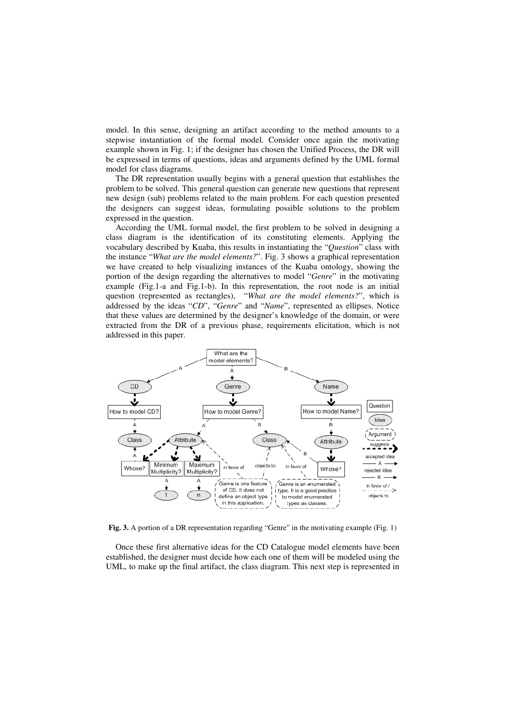model. In this sense, designing an artifact according to the method amounts to a stepwise instantiation of the formal model. Consider once again the motivating example shown in Fig. 1; if the designer has chosen the Unified Process, the DR will be expressed in terms of questions, ideas and arguments defined by the UML formal model for class diagrams.

The DR representation usually begins with a general question that establishes the problem to be solved. This general question can generate new questions that represent new design (sub) problems related to the main problem. For each question presented the designers can suggest ideas, formulating possible solutions to the problem expressed in the question.

According the UML formal model, the first problem to be solved in designing a class diagram is the identification of its constituting elements. Applying the vocabulary described by Kuaba, this results in instantiating the "*Question*" class with the instance "*What are the model elements?*". Fig. 3 shows a graphical representation we have created to help visualizing instances of the Kuaba ontology, showing the portion of the design regarding the alternatives to model "*Genre*" in the motivating example (Fig.1-a and Fig.1-b). In this representation, the root node is an initial question (represented as rectangles), "*What are the model elements?*", which is addressed by the ideas "*CD*", "*Genre*" and "*Name*", represented as ellipses. Notice that these values are determined by the designer's knowledge of the domain, or were extracted from the DR of a previous phase, requirements elicitation, which is not addressed in this paper.



**Fig. 3.** A portion of a DR representation regarding "Genre" in the motivating example (Fig. 1)

Once these first alternative ideas for the CD Catalogue model elements have been established, the designer must decide how each one of them will be modeled using the UML, to make up the final artifact, the class diagram. This next step is represented in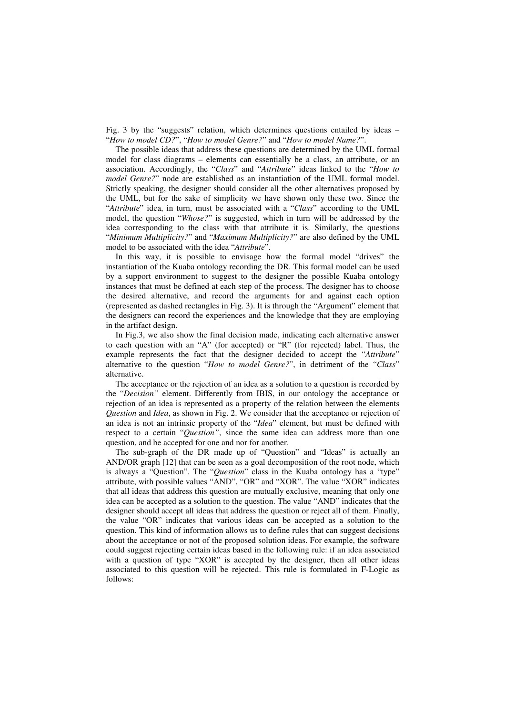Fig. 3 by the "suggests" relation, which determines questions entailed by ideas – "*How to model CD?*", "*How to model Genre?*" and "*How to model Name?*".

The possible ideas that address these questions are determined by the UML formal model for class diagrams – elements can essentially be a class, an attribute, or an association. Accordingly, the "*Class*" and "*Attribute*" ideas linked to the "*How to model Genre?*" node are established as an instantiation of the UML formal model. Strictly speaking, the designer should consider all the other alternatives proposed by the UML, but for the sake of simplicity we have shown only these two. Since the "*Attribute*" idea, in turn, must be associated with a "*Class*" according to the UML model, the question "*Whose?*" is suggested, which in turn will be addressed by the idea corresponding to the class with that attribute it is. Similarly, the questions "*Minimum Multiplicity?*" and "*Maximum Multiplicity?*" are also defined by the UML model to be associated with the idea "*Attribute*".

In this way, it is possible to envisage how the formal model "drives" the instantiation of the Kuaba ontology recording the DR. This formal model can be used by a support environment to suggest to the designer the possible Kuaba ontology instances that must be defined at each step of the process. The designer has to choose the desired alternative, and record the arguments for and against each option (represented as dashed rectangles in Fig. 3). It is through the "Argument" element that the designers can record the experiences and the knowledge that they are employing in the artifact design.

In Fig.3, we also show the final decision made, indicating each alternative answer to each question with an "A" (for accepted) or "R" (for rejected) label. Thus, the example represents the fact that the designer decided to accept the "*Attribute*" alternative to the question "*How to model Genre?*", in detriment of the "*Class*" alternative.

The acceptance or the rejection of an idea as a solution to a question is recorded by the "*Decision"* element. Differently from IBIS, in our ontology the acceptance or rejection of an idea is represented as a property of the relation between the elements *Question* and *Idea*, as shown in Fig. 2. We consider that the acceptance or rejection of an idea is not an intrinsic property of the "*Idea*" element, but must be defined with respect to a certain "*Question"*, since the same idea can address more than one question, and be accepted for one and nor for another.

The sub-graph of the DR made up of "Question" and "Ideas" is actually an AND/OR graph [12] that can be seen as a goal decomposition of the root node, which is always a "Question". The "*Question*" class in the Kuaba ontology has a "type" attribute, with possible values "AND", "OR" and "XOR". The value "XOR" indicates that all ideas that address this question are mutually exclusive, meaning that only one idea can be accepted as a solution to the question. The value "AND" indicates that the designer should accept all ideas that address the question or reject all of them. Finally, the value "OR" indicates that various ideas can be accepted as a solution to the question. This kind of information allows us to define rules that can suggest decisions about the acceptance or not of the proposed solution ideas. For example, the software could suggest rejecting certain ideas based in the following rule: if an idea associated with a question of type "XOR" is accepted by the designer, then all other ideas associated to this question will be rejected. This rule is formulated in F-Logic as follows: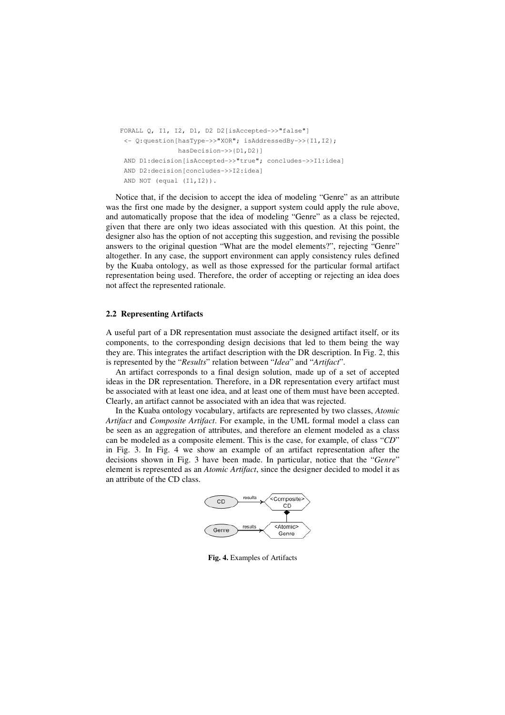```
FORALL Q, I1, I2, D1, D2 D2[isAccepted->>"false"] 
 <- Q:question[hasType->>"XOR"; isAddressedBy->>{I1,I2}; 
                hasDecision->>{D1,D2}] 
 AND D1:decision[isAccepted->>"true"; concludes->>I1:idea] 
 AND D2:decision[concludes->>I2:idea] 
  AND NOT (equal (I1,I2)).
```
Notice that, if the decision to accept the idea of modeling "Genre" as an attribute was the first one made by the designer, a support system could apply the rule above, and automatically propose that the idea of modeling "Genre" as a class be rejected, given that there are only two ideas associated with this question. At this point, the designer also has the option of not accepting this suggestion, and revising the possible answers to the original question "What are the model elements?", rejecting "Genre" altogether. In any case, the support environment can apply consistency rules defined by the Kuaba ontology, as well as those expressed for the particular formal artifact representation being used. Therefore, the order of accepting or rejecting an idea does not affect the represented rationale.

#### **2.2 Representing Artifacts**

A useful part of a DR representation must associate the designed artifact itself, or its components, to the corresponding design decisions that led to them being the way they are. This integrates the artifact description with the DR description. In Fig. 2, this is represented by the "*Results*" relation between "*Idea*" and "*Artifact*".

An artifact corresponds to a final design solution, made up of a set of accepted ideas in the DR representation. Therefore, in a DR representation every artifact must be associated with at least one idea, and at least one of them must have been accepted. Clearly, an artifact cannot be associated with an idea that was rejected.

In the Kuaba ontology vocabulary, artifacts are represented by two classes, *Atomic Artifact* and *Composite Artifact*. For example, in the UML formal model a class can be seen as an aggregation of attributes, and therefore an element modeled as a class can be modeled as a composite element. This is the case, for example, of class "*CD*" in Fig. 3. In Fig. 4 we show an example of an artifact representation after the decisions shown in Fig. 3 have been made. In particular, notice that the "*Genre*" element is represented as an *Atomic Artifact*, since the designer decided to model it as an attribute of the CD class.



**Fig. 4.** Examples of Artifacts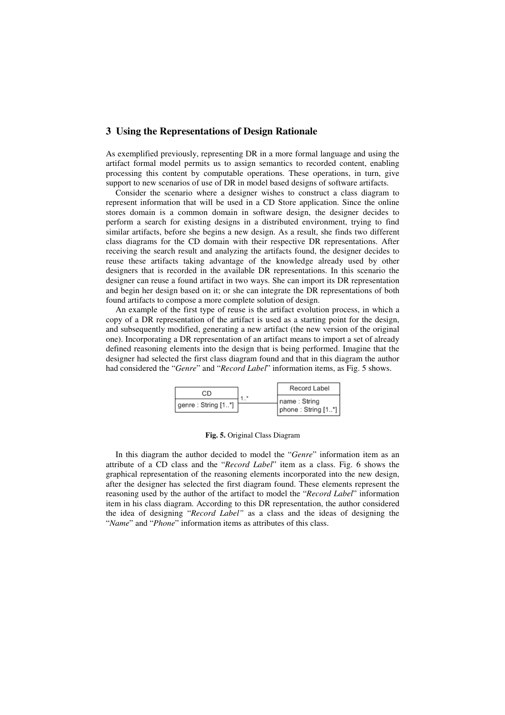# **3 Using the Representations of Design Rationale**

As exemplified previously, representing DR in a more formal language and using the artifact formal model permits us to assign semantics to recorded content, enabling processing this content by computable operations. These operations, in turn, give support to new scenarios of use of DR in model based designs of software artifacts.

Consider the scenario where a designer wishes to construct a class diagram to represent information that will be used in a CD Store application. Since the online stores domain is a common domain in software design, the designer decides to perform a search for existing designs in a distributed environment, trying to find similar artifacts, before she begins a new design. As a result, she finds two different class diagrams for the CD domain with their respective DR representations. After receiving the search result and analyzing the artifacts found, the designer decides to reuse these artifacts taking advantage of the knowledge already used by other designers that is recorded in the available DR representations. In this scenario the designer can reuse a found artifact in two ways. She can import its DR representation and begin her design based on it; or she can integrate the DR representations of both found artifacts to compose a more complete solution of design.

An example of the first type of reuse is the artifact evolution process, in which a copy of a DR representation of the artifact is used as a starting point for the design, and subsequently modified, generating a new artifact (the new version of the original one). Incorporating a DR representation of an artifact means to import a set of already defined reasoning elements into the design that is being performed. Imagine that the designer had selected the first class diagram found and that in this diagram the author had considered the "*Genre*" and "*Record Label*" information items, as Fig. 5 shows.



#### **Fig. 5.** Original Class Diagram

In this diagram the author decided to model the "*Genre*" information item as an attribute of a CD class and the "*Record Label*" item as a class. Fig. 6 shows the graphical representation of the reasoning elements incorporated into the new design, after the designer has selected the first diagram found. These elements represent the reasoning used by the author of the artifact to model the "*Record Label*" information item in his class diagram. According to this DR representation, the author considered the idea of designing "*Record Label"* as a class and the ideas of designing the "*Name*" and "*Phone*" information items as attributes of this class.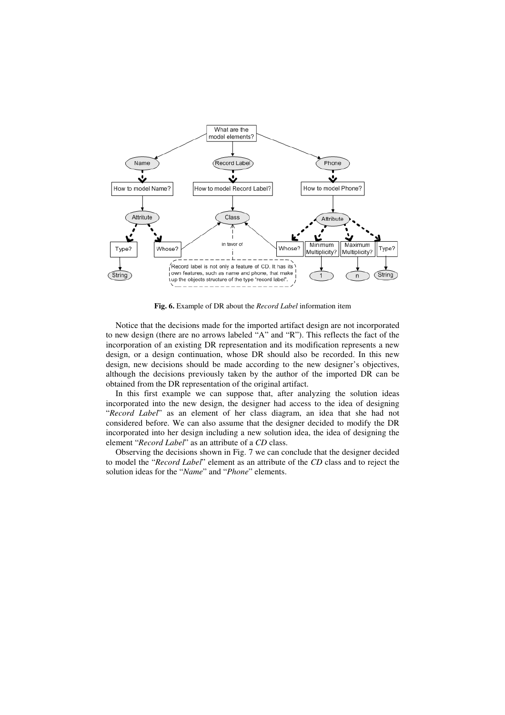

**Fig. 6.** Example of DR about the *Record Label* information item

Notice that the decisions made for the imported artifact design are not incorporated to new design (there are no arrows labeled "A" and "R"). This reflects the fact of the incorporation of an existing DR representation and its modification represents a new design, or a design continuation, whose DR should also be recorded. In this new design, new decisions should be made according to the new designer's objectives, although the decisions previously taken by the author of the imported DR can be obtained from the DR representation of the original artifact.

In this first example we can suppose that, after analyzing the solution ideas incorporated into the new design, the designer had access to the idea of designing "*Record Label*" as an element of her class diagram, an idea that she had not considered before. We can also assume that the designer decided to modify the DR incorporated into her design including a new solution idea, the idea of designing the element "*Record Label*" as an attribute of a *CD* class.

Observing the decisions shown in Fig. 7 we can conclude that the designer decided to model the "*Record Label*" element as an attribute of the *CD* class and to reject the solution ideas for the "*Name*" and "*Phone*" elements.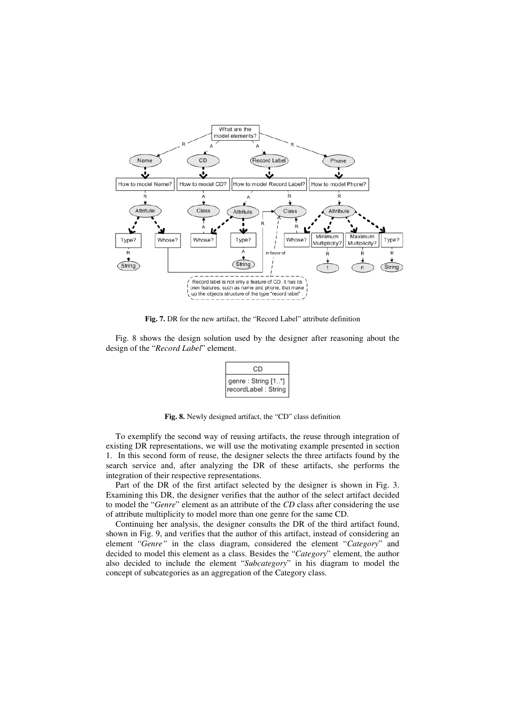

**Fig. 7.** DR for the new artifact, the "Record Label" attribute definition

Fig. 8 shows the design solution used by the designer after reasoning about the design of the "*Record Label*" element.



**Fig. 8.** Newly designed artifact, the "CD" class definition

To exemplify the second way of reusing artifacts, the reuse through integration of existing DR representations, we will use the motivating example presented in section 1. In this second form of reuse, the designer selects the three artifacts found by the search service and, after analyzing the DR of these artifacts, she performs the integration of their respective representations.

Part of the DR of the first artifact selected by the designer is shown in Fig. 3. Examining this DR, the designer verifies that the author of the select artifact decided to model the "*Genre*" element as an attribute of the *CD* class after considering the use of attribute multiplicity to model more than one genre for the same CD.

Continuing her analysis, the designer consults the DR of the third artifact found, shown in Fig. 9, and verifies that the author of this artifact, instead of considering an element "*Genre"* in the class diagram, considered the element "*Category*" and decided to model this element as a class. Besides the "*Category*" element, the author also decided to include the element "*Subcategory*" in his diagram to model the concept of subcategories as an aggregation of the Category class.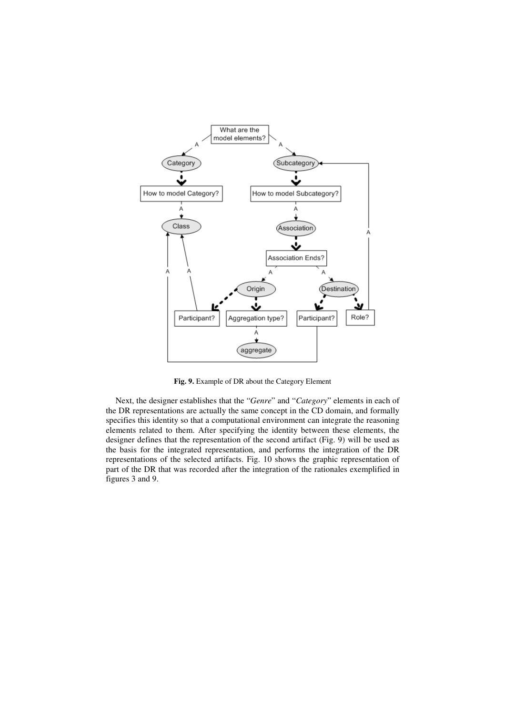

**Fig. 9.** Example of DR about the Category Element

Next, the designer establishes that the "*Genre*" and "*Category*" elements in each of the DR representations are actually the same concept in the CD domain, and formally specifies this identity so that a computational environment can integrate the reasoning elements related to them. After specifying the identity between these elements, the designer defines that the representation of the second artifact (Fig. 9) will be used as the basis for the integrated representation, and performs the integration of the DR representations of the selected artifacts. Fig. 10 shows the graphic representation of part of the DR that was recorded after the integration of the rationales exemplified in figures 3 and 9.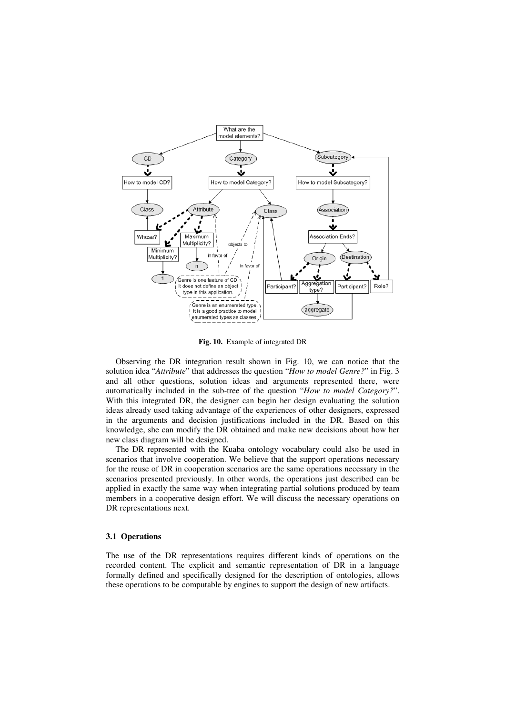

**Fig. 10.** Example of integrated DR

Observing the DR integration result shown in Fig. 10, we can notice that the solution idea "*Attribute*" that addresses the question "*How to model Genre?*" in Fig. 3 and all other questions, solution ideas and arguments represented there, were automatically included in the sub-tree of the question "*How to model Category?*". With this integrated DR, the designer can begin her design evaluating the solution ideas already used taking advantage of the experiences of other designers, expressed in the arguments and decision justifications included in the DR. Based on this knowledge, she can modify the DR obtained and make new decisions about how her new class diagram will be designed.

The DR represented with the Kuaba ontology vocabulary could also be used in scenarios that involve cooperation. We believe that the support operations necessary for the reuse of DR in cooperation scenarios are the same operations necessary in the scenarios presented previously. In other words, the operations just described can be applied in exactly the same way when integrating partial solutions produced by team members in a cooperative design effort. We will discuss the necessary operations on DR representations next.

#### **3.1 Operations**

The use of the DR representations requires different kinds of operations on the recorded content. The explicit and semantic representation of DR in a language formally defined and specifically designed for the description of ontologies, allows these operations to be computable by engines to support the design of new artifacts.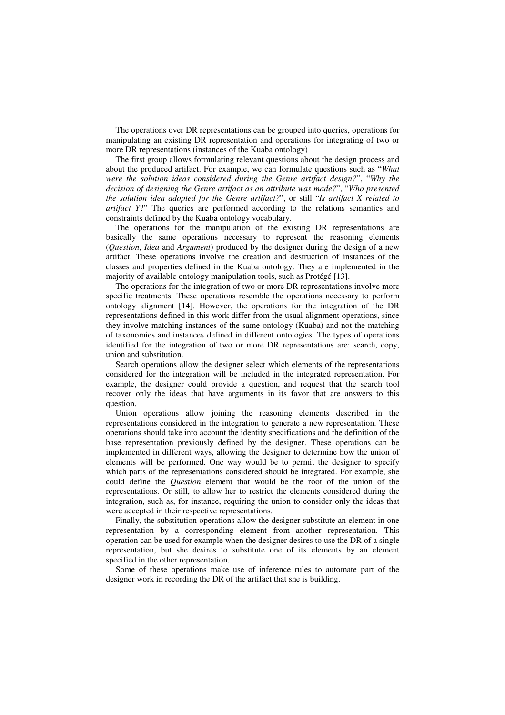The operations over DR representations can be grouped into queries, operations for manipulating an existing DR representation and operations for integrating of two or more DR representations (instances of the Kuaba ontology)

The first group allows formulating relevant questions about the design process and about the produced artifact. For example, we can formulate questions such as "*What were the solution ideas considered during the Genre artifact design?*", "*Why the decision of designing the Genre artifact as an attribute was made?*", "*Who presented the solution idea adopted for the Genre artifact?*", or still "*Is artifact X related to artifact Y*?" The queries are performed according to the relations semantics and constraints defined by the Kuaba ontology vocabulary.

The operations for the manipulation of the existing DR representations are basically the same operations necessary to represent the reasoning elements (*Question*, *Idea* and *Argument*) produced by the designer during the design of a new artifact. These operations involve the creation and destruction of instances of the classes and properties defined in the Kuaba ontology. They are implemented in the majority of available ontology manipulation tools, such as Protégé [13].

The operations for the integration of two or more DR representations involve more specific treatments. These operations resemble the operations necessary to perform ontology alignment [14]. However, the operations for the integration of the DR representations defined in this work differ from the usual alignment operations, since they involve matching instances of the same ontology (Kuaba) and not the matching of taxonomies and instances defined in different ontologies. The types of operations identified for the integration of two or more DR representations are: search, copy, union and substitution.

Search operations allow the designer select which elements of the representations considered for the integration will be included in the integrated representation. For example, the designer could provide a question, and request that the search tool recover only the ideas that have arguments in its favor that are answers to this question.

Union operations allow joining the reasoning elements described in the representations considered in the integration to generate a new representation. These operations should take into account the identity specifications and the definition of the base representation previously defined by the designer. These operations can be implemented in different ways, allowing the designer to determine how the union of elements will be performed. One way would be to permit the designer to specify which parts of the representations considered should be integrated. For example, she could define the *Question* element that would be the root of the union of the representations. Or still, to allow her to restrict the elements considered during the integration, such as, for instance, requiring the union to consider only the ideas that were accepted in their respective representations.

 Finally, the substitution operations allow the designer substitute an element in one representation by a corresponding element from another representation. This operation can be used for example when the designer desires to use the DR of a single representation, but she desires to substitute one of its elements by an element specified in the other representation.

Some of these operations make use of inference rules to automate part of the designer work in recording the DR of the artifact that she is building.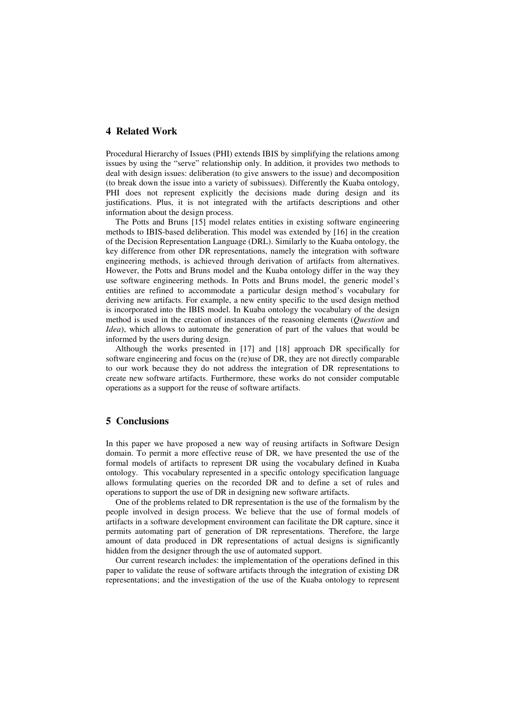# **4 Related Work**

Procedural Hierarchy of Issues (PHI) extends IBIS by simplifying the relations among issues by using the "serve" relationship only. In addition, it provides two methods to deal with design issues: deliberation (to give answers to the issue) and decomposition (to break down the issue into a variety of subissues). Differently the Kuaba ontology, PHI does not represent explicitly the decisions made during design and its justifications. Plus, it is not integrated with the artifacts descriptions and other information about the design process.

The Potts and Bruns [15] model relates entities in existing software engineering methods to IBIS-based deliberation. This model was extended by [16] in the creation of the Decision Representation Language (DRL). Similarly to the Kuaba ontology, the key difference from other DR representations, namely the integration with software engineering methods, is achieved through derivation of artifacts from alternatives. However, the Potts and Bruns model and the Kuaba ontology differ in the way they use software engineering methods. In Potts and Bruns model, the generic model's entities are refined to accommodate a particular design method's vocabulary for deriving new artifacts. For example, a new entity specific to the used design method is incorporated into the IBIS model. In Kuaba ontology the vocabulary of the design method is used in the creation of instances of the reasoning elements (*Question* and *Idea*), which allows to automate the generation of part of the values that would be informed by the users during design.

Although the works presented in [17] and [18] approach DR specifically for software engineering and focus on the (re)use of DR, they are not directly comparable to our work because they do not address the integration of DR representations to create new software artifacts. Furthermore, these works do not consider computable operations as a support for the reuse of software artifacts.

### **5 Conclusions**

In this paper we have proposed a new way of reusing artifacts in Software Design domain. To permit a more effective reuse of DR, we have presented the use of the formal models of artifacts to represent DR using the vocabulary defined in Kuaba ontology. This vocabulary represented in a specific ontology specification language allows formulating queries on the recorded DR and to define a set of rules and operations to support the use of DR in designing new software artifacts.

One of the problems related to DR representation is the use of the formalism by the people involved in design process. We believe that the use of formal models of artifacts in a software development environment can facilitate the DR capture, since it permits automating part of generation of DR representations. Therefore, the large amount of data produced in DR representations of actual designs is significantly hidden from the designer through the use of automated support.

Our current research includes: the implementation of the operations defined in this paper to validate the reuse of software artifacts through the integration of existing DR representations; and the investigation of the use of the Kuaba ontology to represent